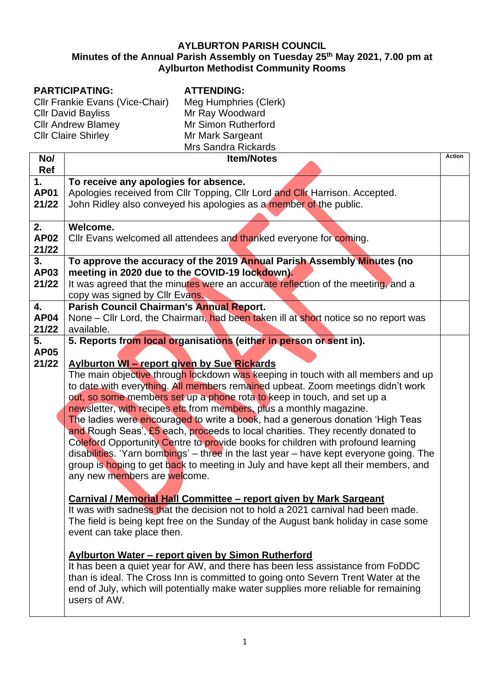#### **AYLBURTON PARISH COUNCIL Minutes of the Annual Parish Assembly on Tuesday 25th May 2021, 7.00 pm at Aylburton Methodist Community Rooms**

# **PARTICIPATING:**

Cllr Frankie Evans (Vice-Chair) Cllr David Bayliss Cllr Andrew Blamey Cllr Claire Shirley

**ATTENDING:**

| Meg Humphries (Clerk)      |  |
|----------------------------|--|
| Mr Ray Woodward            |  |
| Mr Simon Rutherford        |  |
| Mr Mark Sargeant           |  |
| <b>Mrs Sandra Rickards</b> |  |
|                            |  |

|             |                                                                                        | <b>Action</b> |
|-------------|----------------------------------------------------------------------------------------|---------------|
| No/         | <b>Item/Notes</b>                                                                      |               |
| Ref         |                                                                                        |               |
| 1.          | To receive any apologies for absence.                                                  |               |
| <b>AP01</b> | Apologies received from Cllr Topping, Cllr Lord and Cllr Harrison. Accepted.           |               |
| 21/22       | John Ridley also conveyed his apologies as a member of the public.                     |               |
|             |                                                                                        |               |
| 2.          | Welcome.                                                                               |               |
| <b>AP02</b> | Cllr Evans welcomed all attendees and thanked everyone for coming.                     |               |
| 21/22       |                                                                                        |               |
| 3.          | To approve the accuracy of the 2019 Annual Parish Assembly Minutes (no                 |               |
| <b>AP03</b> | meeting in 2020 due to the COVID-19 lockdown).                                         |               |
| 21/22       | It was agreed that the minutes were an accurate reflection of the meeting, and a       |               |
|             | copy was signed by Cllr Evans.                                                         |               |
| 4.          | Parish Council Chairman's Annual Report.                                               |               |
| <b>AP04</b> | None – Cllr Lord, the Chairman, had been taken ill at short notice so no report was    |               |
| 21/22       | available.                                                                             |               |
| 5.          | 5. Reports from local organisations (either in person or sent in).                     |               |
| <b>AP05</b> |                                                                                        |               |
| 21/22       | <b>Aylburton WI - report given by Sue Rickards</b>                                     |               |
|             | The main objective through lockdown was keeping in touch with all members and up       |               |
|             | to date with everything. All members remained upbeat. Zoom meetings didn't work        |               |
|             | out, so some members set up a phone rota to keep in touch, and set up a                |               |
|             |                                                                                        |               |
|             | newsletter, with recipes etc from members, plus a monthly magazine.                    |               |
|             | The ladies were encouraged to write a book, had a generous donation 'High Teas         |               |
|             | and Rough Seas', £5 each, proceeds to local charities. They recently donated to        |               |
|             | Coleford Opportunity Centre to provide books for children with profound learning       |               |
|             | disabilities. 'Yarn bombings' – three in the last year – have kept everyone going. The |               |
|             | group is hoping to get back to meeting in July and have kept all their members, and    |               |
|             | any new members are welcome.                                                           |               |
|             |                                                                                        |               |
|             | <b>Carnival / Memorial Hall Committee - report given by Mark Sargeant</b>              |               |
|             | It was with sadness that the decision not to hold a 2021 carnival had been made.       |               |
|             | The field is being kept free on the Sunday of the August bank holiday in case some     |               |
|             | event can take place then.                                                             |               |
|             |                                                                                        |               |
|             | <b>Aylburton Water – report given by Simon Rutherford</b>                              |               |
|             | It has been a quiet year for AW, and there has been less assistance from FoDDC         |               |
|             | than is ideal. The Cross Inn is committed to going onto Severn Trent Water at the      |               |
|             | end of July, which will potentially make water supplies more reliable for remaining    |               |
|             | users of AW.                                                                           |               |
|             |                                                                                        |               |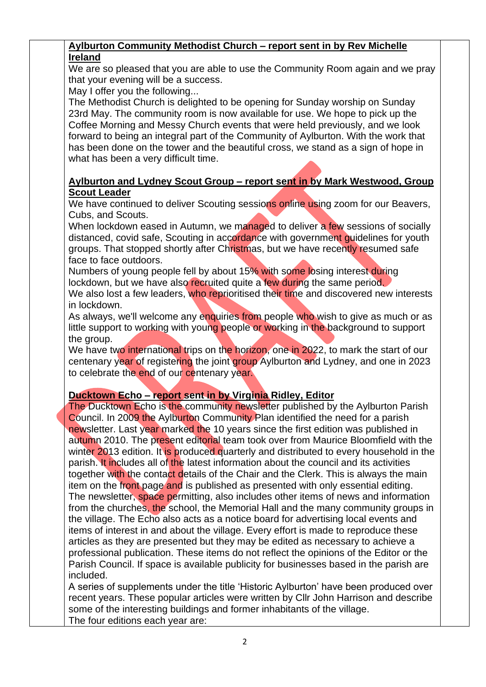### **Aylburton Community Methodist Church – report sent in by Rev Michelle Ireland**

We are so pleased that you are able to use the Community Room again and we pray that your evening will be a success.

May I offer you the following...

The Methodist Church is delighted to be opening for Sunday worship on Sunday 23rd May. The community room is now available for use. We hope to pick up the Coffee Morning and Messy Church events that were held previously, and we look forward to being an integral part of the Community of Aylburton. With the work that has been done on the tower and the beautiful cross, we stand as a sign of hope in what has been a very difficult time.

### **Aylburton and Lydney Scout Group – report sent in by Mark Westwood, Group Scout Leader**

We have continued to deliver Scouting sessions online using zoom for our Beavers, Cubs, and Scouts.

When lockdown eased in Autumn, we managed to deliver a few sessions of socially distanced, covid safe. Scouting in accordance with government quidelines for youth groups. That stopped shortly after Christmas, but we have recently resumed safe face to face outdoors.

Numbers of young people fell by about 15% with some losing interest during lockdown, but we have also recruited quite a few during the same period. We also lost a few leaders, who reprioritised their time and discovered new interests in lockdown.

As always, we'll welcome any enquiries from people who wish to give as much or as little support to working with young people or working in the background to support the group.

We have two international trips on the horizon, one in 2022, to mark the start of our centenary year of registering the joint group Aylburton and Lydney, and one in 2023 to celebrate the end of our centenary year.

## **Ducktown Echo – report sent in by Virginia Ridley, Editor**

The Ducktown Echo is the community newsletter published by the Aylburton Parish Council. In 2009 the Aylburton Community Plan identified the need for a parish newsletter. Last year marked the 10 years since the first edition was published in autumn 2010. The present editorial team took over from Maurice Bloomfield with the winter 2013 edition. It is produced quarterly and distributed to every household in the parish. It includes all of the latest information about the council and its activities together with the contact details of the Chair and the Clerk. This is always the main item on the front page and is published as presented with only essential editing. The newsletter, space permitting, also includes other items of news and information from the churches, the school, the Memorial Hall and the many community groups in the village. The Echo also acts as a notice board for advertising local events and items of interest in and about the village. Every effort is made to reproduce these articles as they are presented but they may be edited as necessary to achieve a professional publication. These items do not reflect the opinions of the Editor or the Parish Council. If space is available publicity for businesses based in the parish are included.

A series of supplements under the title 'Historic Aylburton' have been produced over recent years. These popular articles were written by Cllr John Harrison and describe some of the interesting buildings and former inhabitants of the village. The four editions each year are: